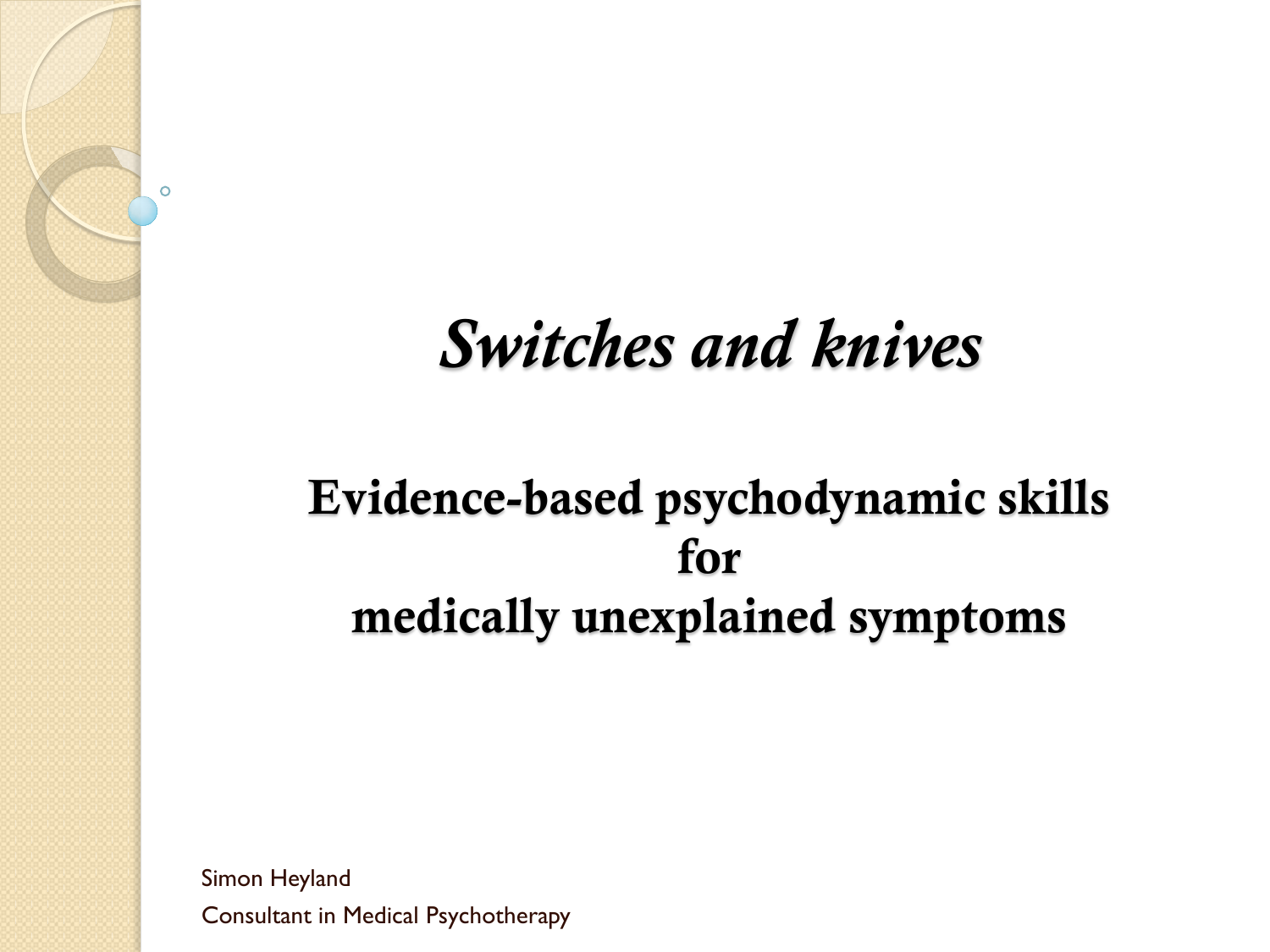## *Switches and knives*

### Evidence-based psychodynamic skills for medically unexplained symptoms

Simon Heyland Consultant in Medical Psychotherapy

Ō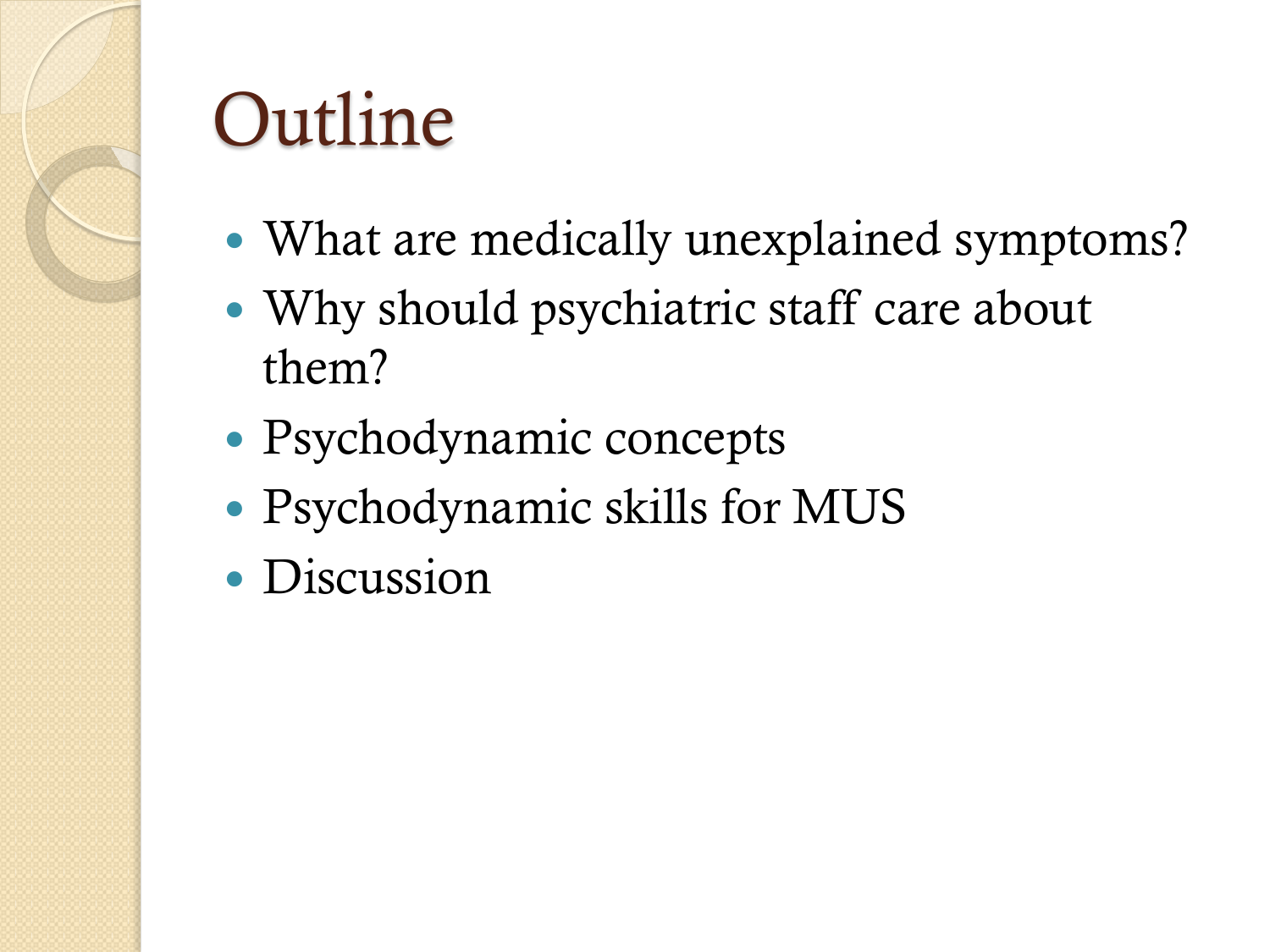# Outline

- What are medically unexplained symptoms?
- Why should psychiatric staff care about them?
- Psychodynamic concepts
- Psychodynamic skills for MUS
- Discussion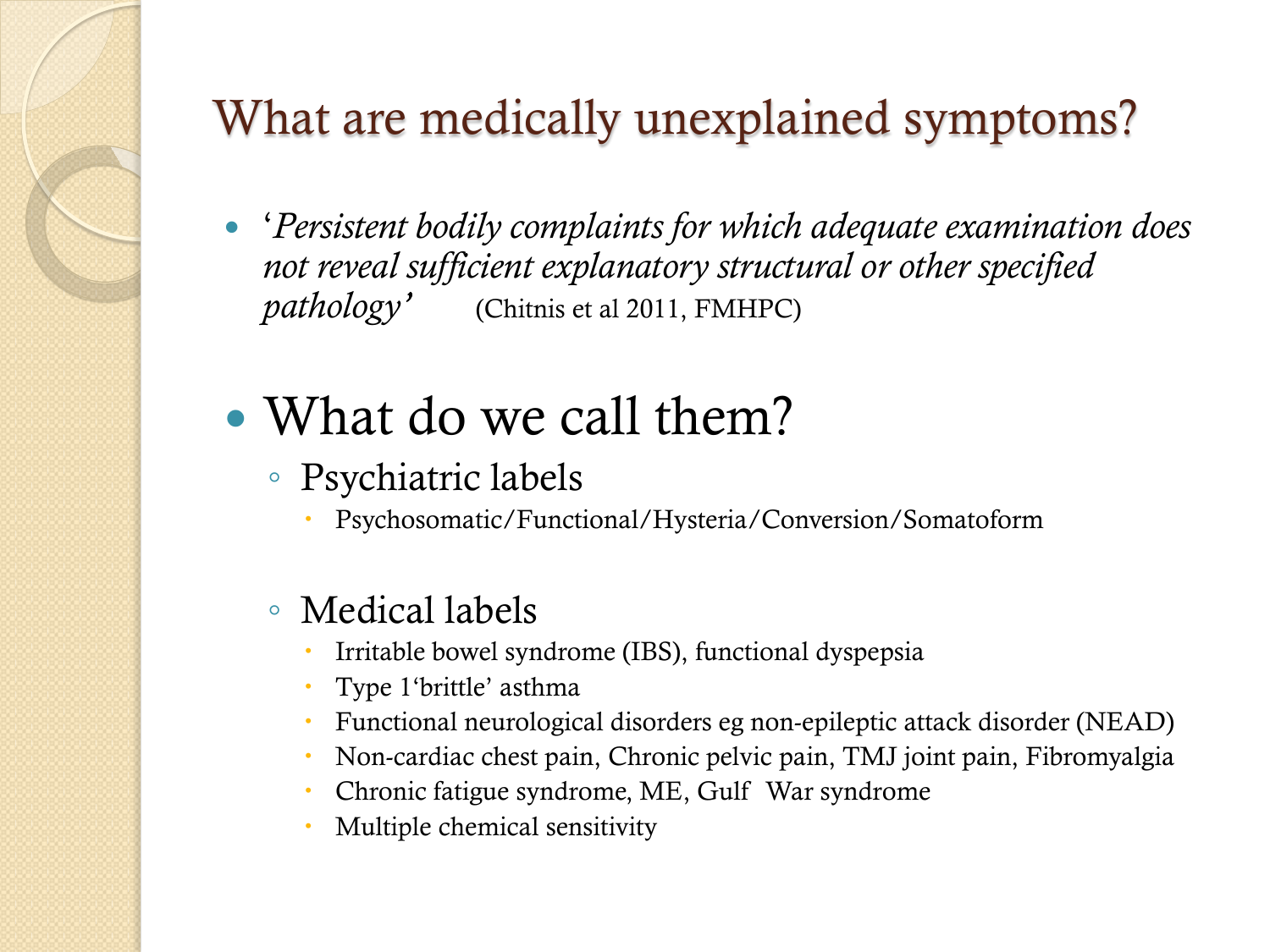### What are medically unexplained symptoms?

- '*Persistent bodily complaints for which adequate examination does not reveal sufficient explanatory structural or other specified pathology'* (Chitnis et al 2011, FMHPC)
- What do we call them?
	- Psychiatric labels
		- Psychosomatic/Functional/Hysteria/Conversion/Somatoform

### ◦ Medical labels

- Irritable bowel syndrome (IBS), functional dyspepsia
- Type 1'brittle' asthma
- Functional neurological disorders eg non-epileptic attack disorder (NEAD)
- Non-cardiac chest pain, Chronic pelvic pain, TMJ joint pain, Fibromyalgia
- Chronic fatigue syndrome, ME, Gulf War syndrome
- Multiple chemical sensitivity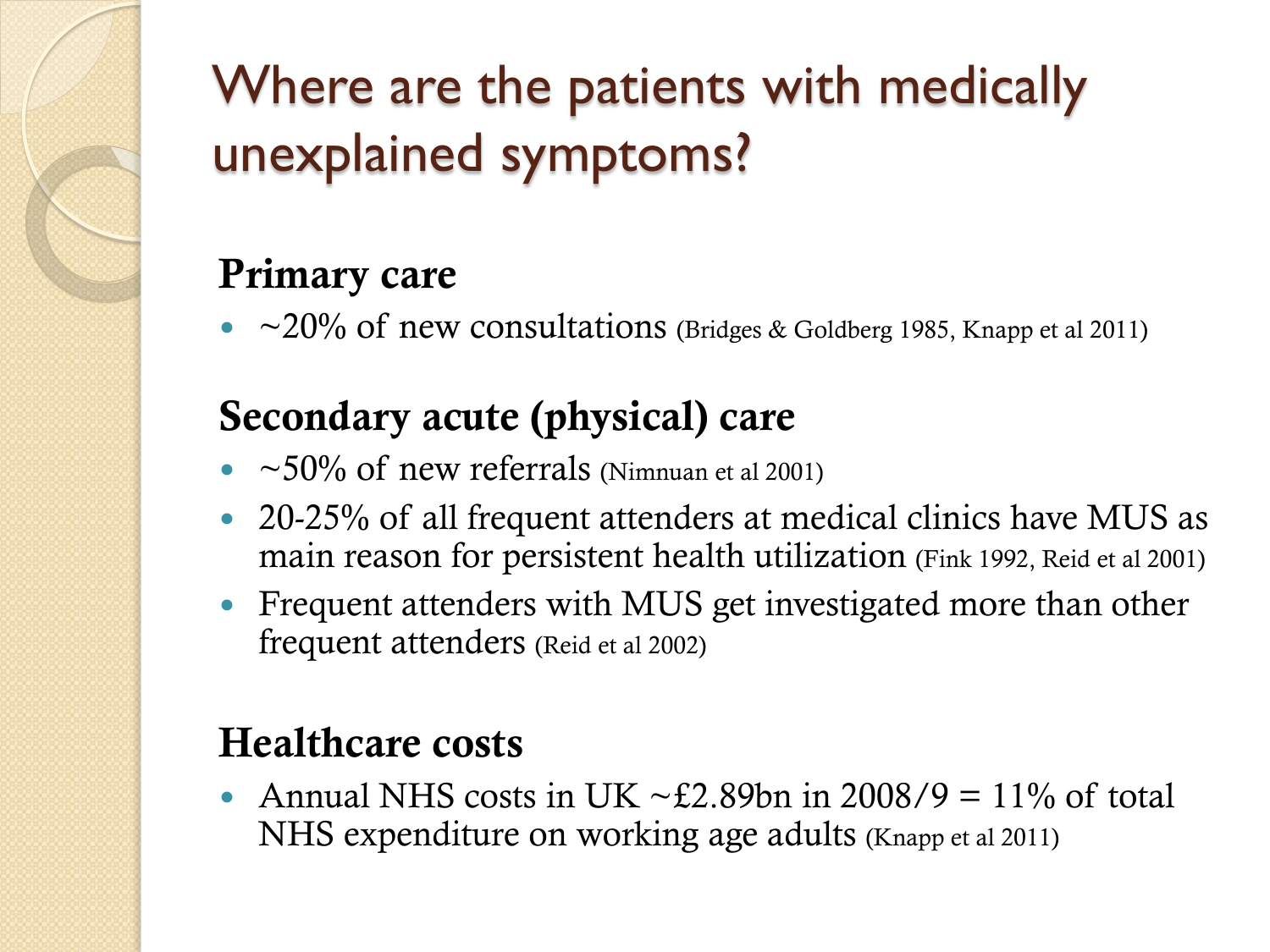## Where are the patients with medically unexplained symptoms?

### Primary care

•  $\sim$  20% of new consultations (Bridges & Goldberg 1985, Knapp et al 2011)

### Secondary acute (physical) care

- $~50\%$  of new referrals (Nimnuan et al 2001)
- 20-25% of all frequent attenders at medical clinics have MUS as main reason for persistent health utilization (Fink 1992, Reid et al 2001)
- Frequent attenders with MUS get investigated more than other frequent attenders (Reid et al 2002)

### Healthcare costs

Annual NHS costs in UK  $\sim \text{\pounds}2.89$ bn in 2008/9 = 11% of total NHS expenditure on working age adults (Knapp et al 2011)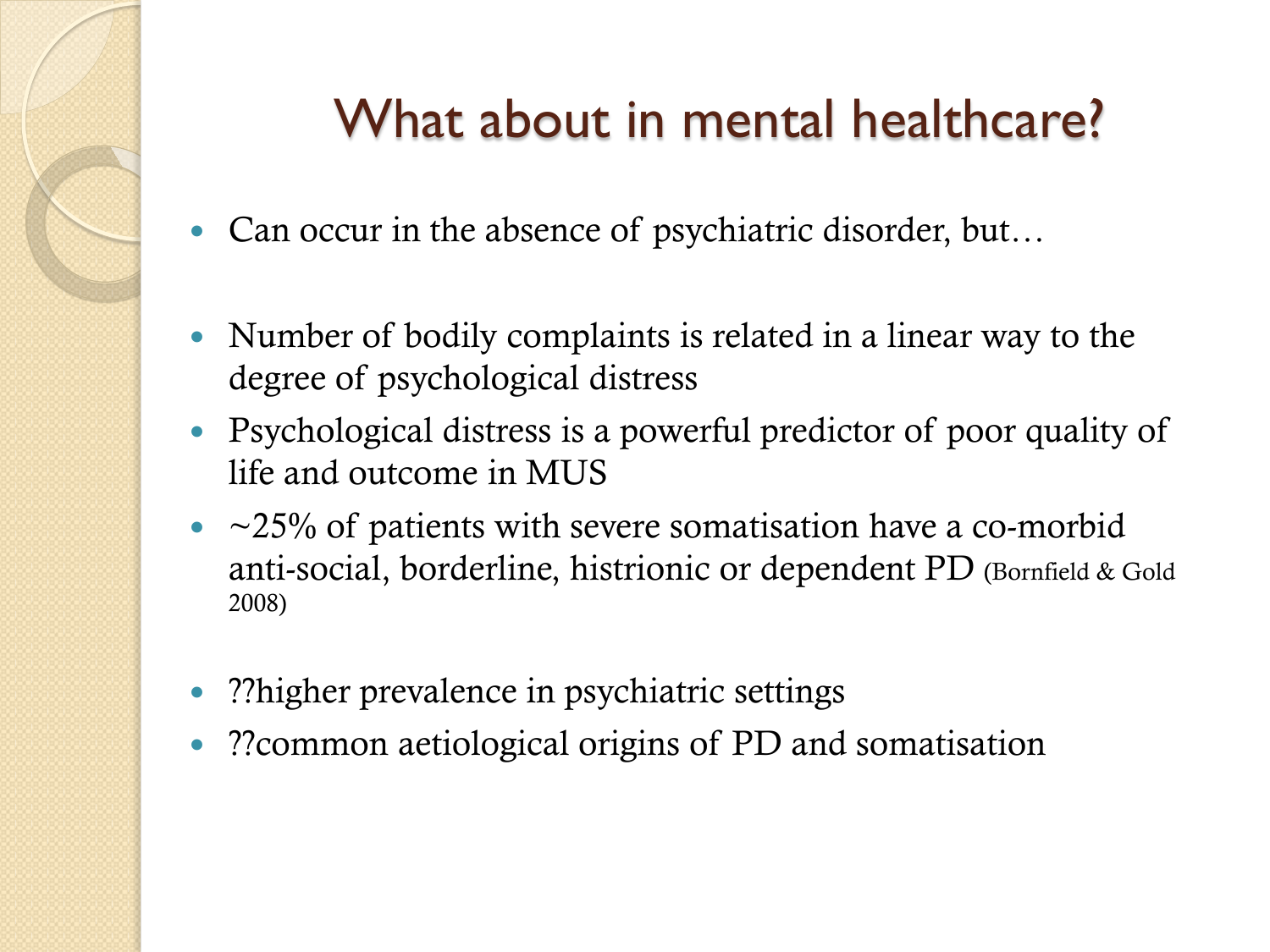### What about in mental healthcare?

- Can occur in the absence of psychiatric disorder, but...
- Number of bodily complaints is related in a linear way to the degree of psychological distress
- Psychological distress is a powerful predictor of poor quality of life and outcome in MUS
- $\sim$  ~25% of patients with severe somatisation have a co-morbid anti-social, borderline, histrionic or dependent PD (Bornfield & Gold 2008)
- ??higher prevalence in psychiatric settings
- ??common aetiological origins of PD and somatisation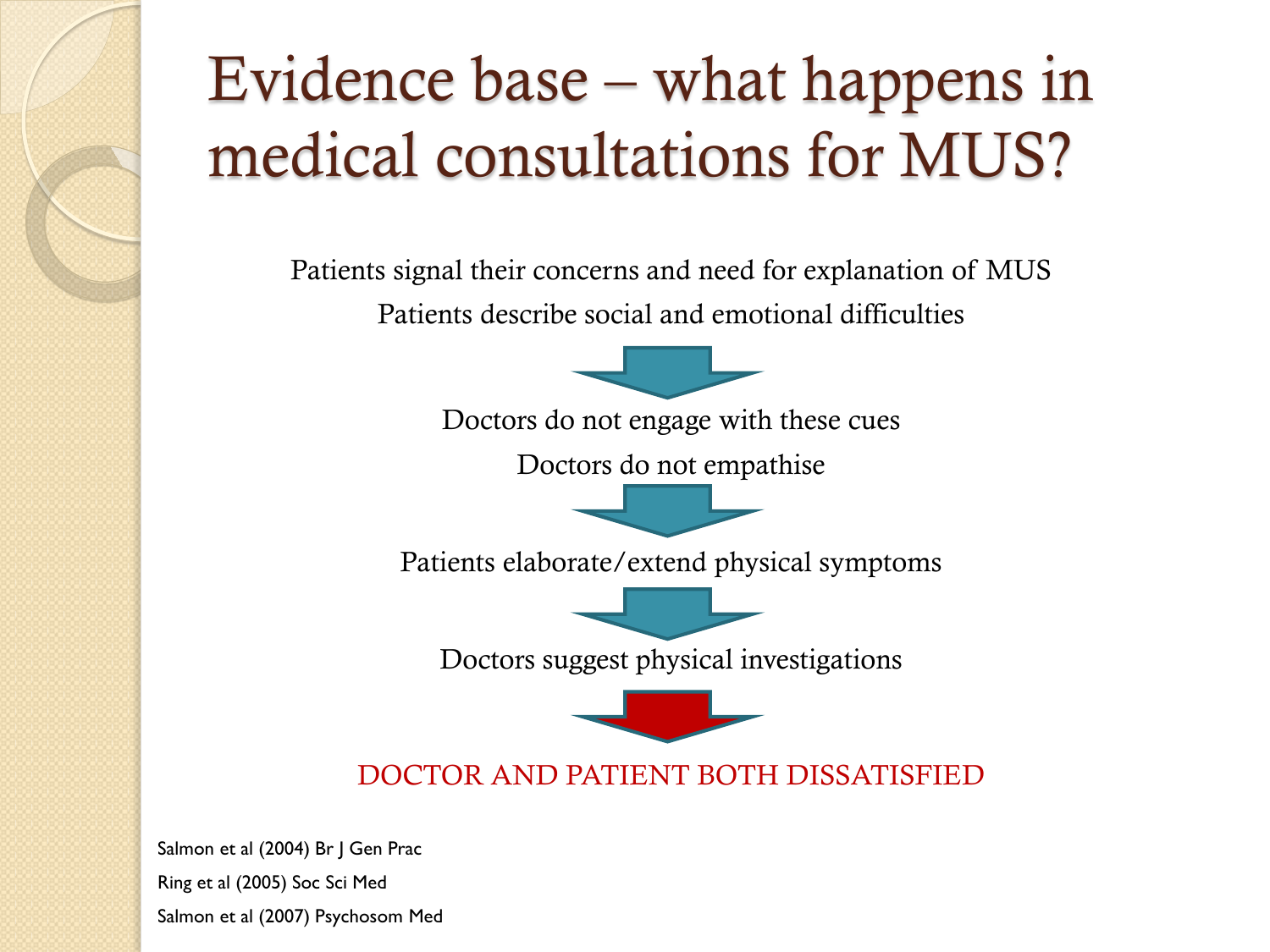## Evidence base – what happens in medical consultations for MUS?

Patients signal their concerns and need for explanation of MUS Patients describe social and emotional difficulties



Doctors do not engage with these cues

Doctors do not empathise

Patients elaborate/extend physical symptoms

Doctors suggest physical investigations



#### DOCTOR AND PATIENT BOTH DISSATISFIED

Salmon et al (2004) Br J Gen Prac Ring et al (2005) Soc Sci Med Salmon et al (2007) Psychosom Med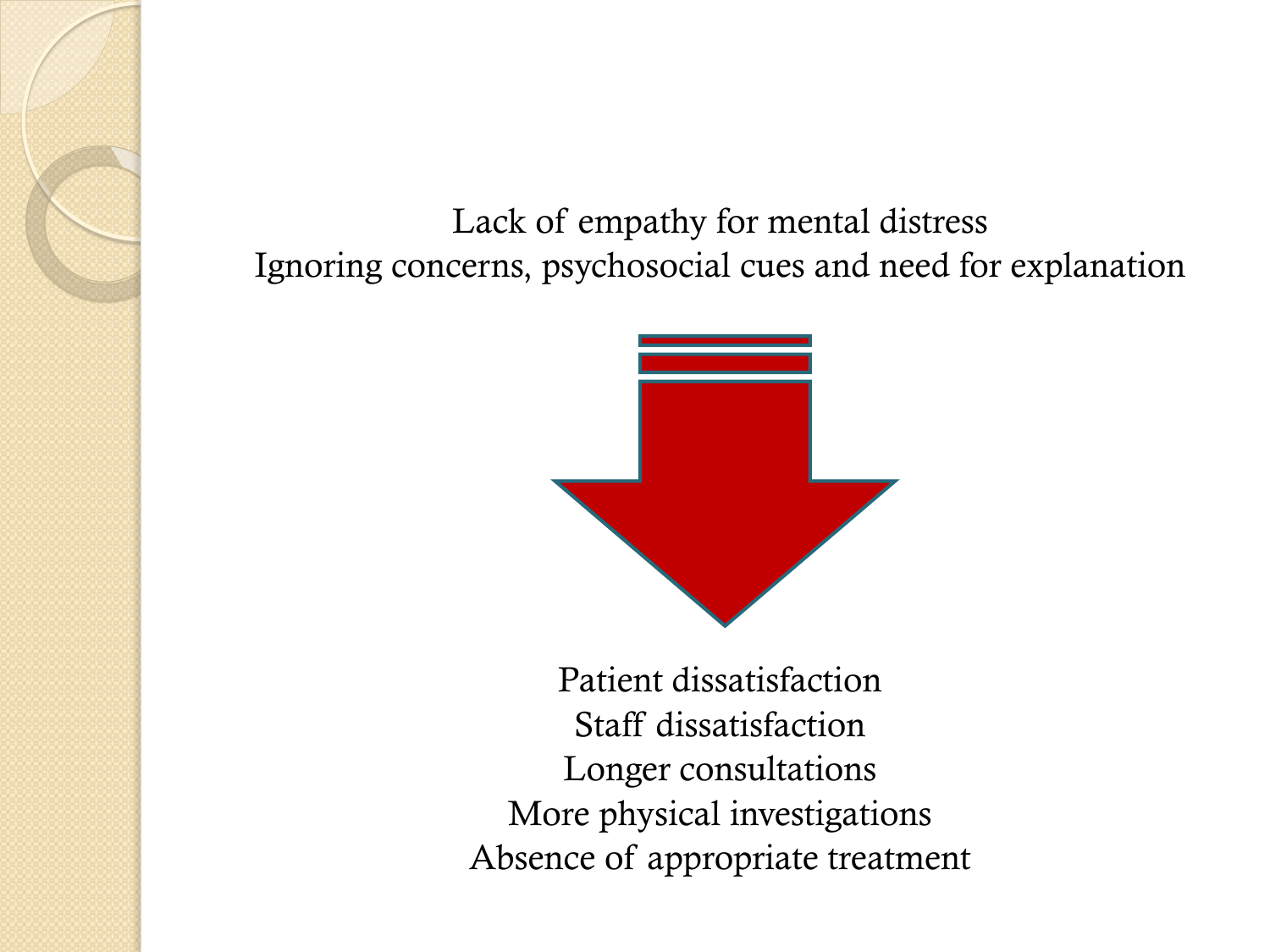Lack of empathy for mental distress Ignoring concerns, psychosocial cues and need for explanation



Patient dissatisfaction Staff dissatisfaction Longer consultations More physical investigations Absence of appropriate treatment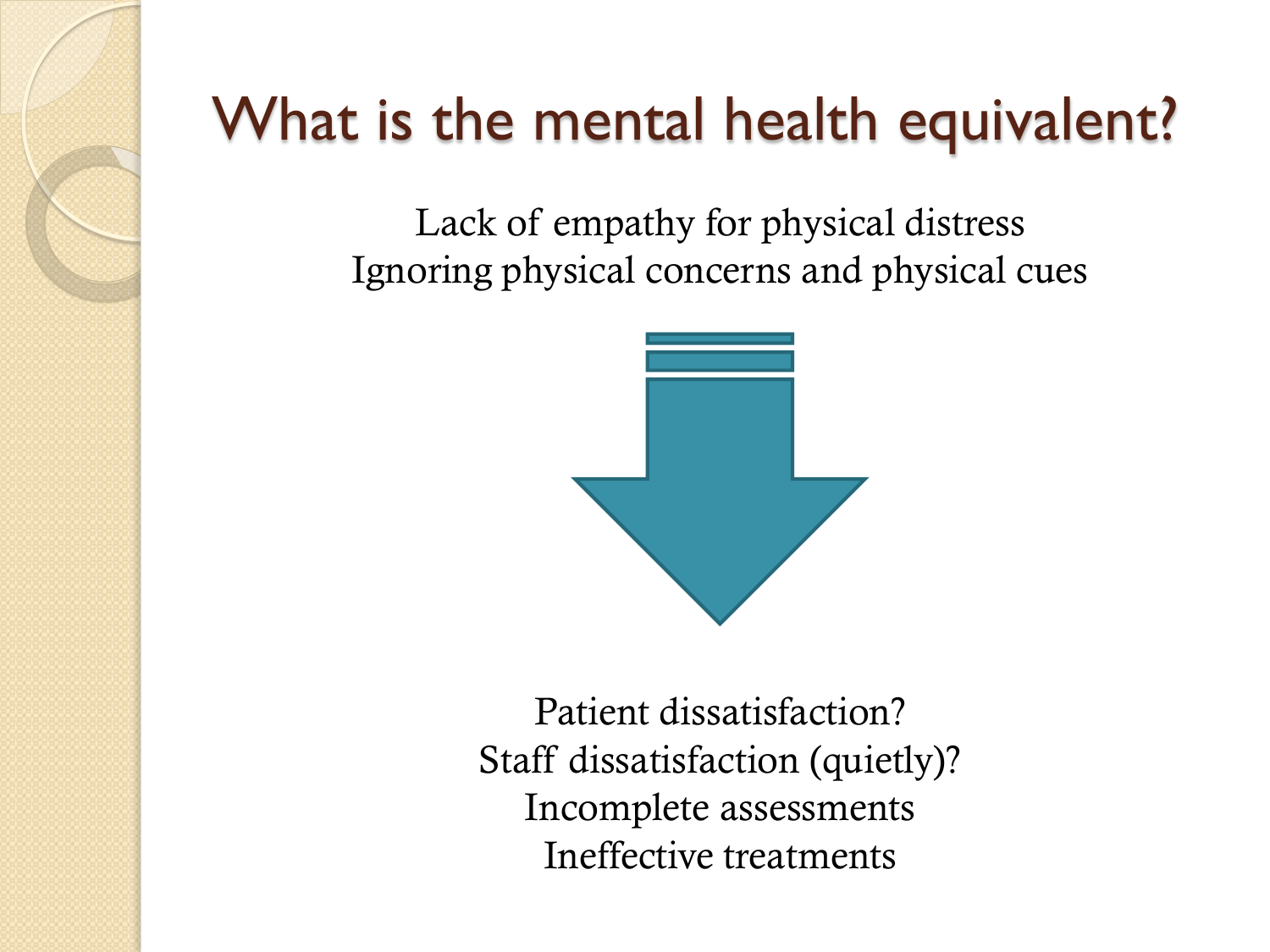## What is the mental health equivalent?

Lack of empathy for physical distress Ignoring physical concerns and physical cues



Patient dissatisfaction? Staff dissatisfaction (quietly)? Incomplete assessments Ineffective treatments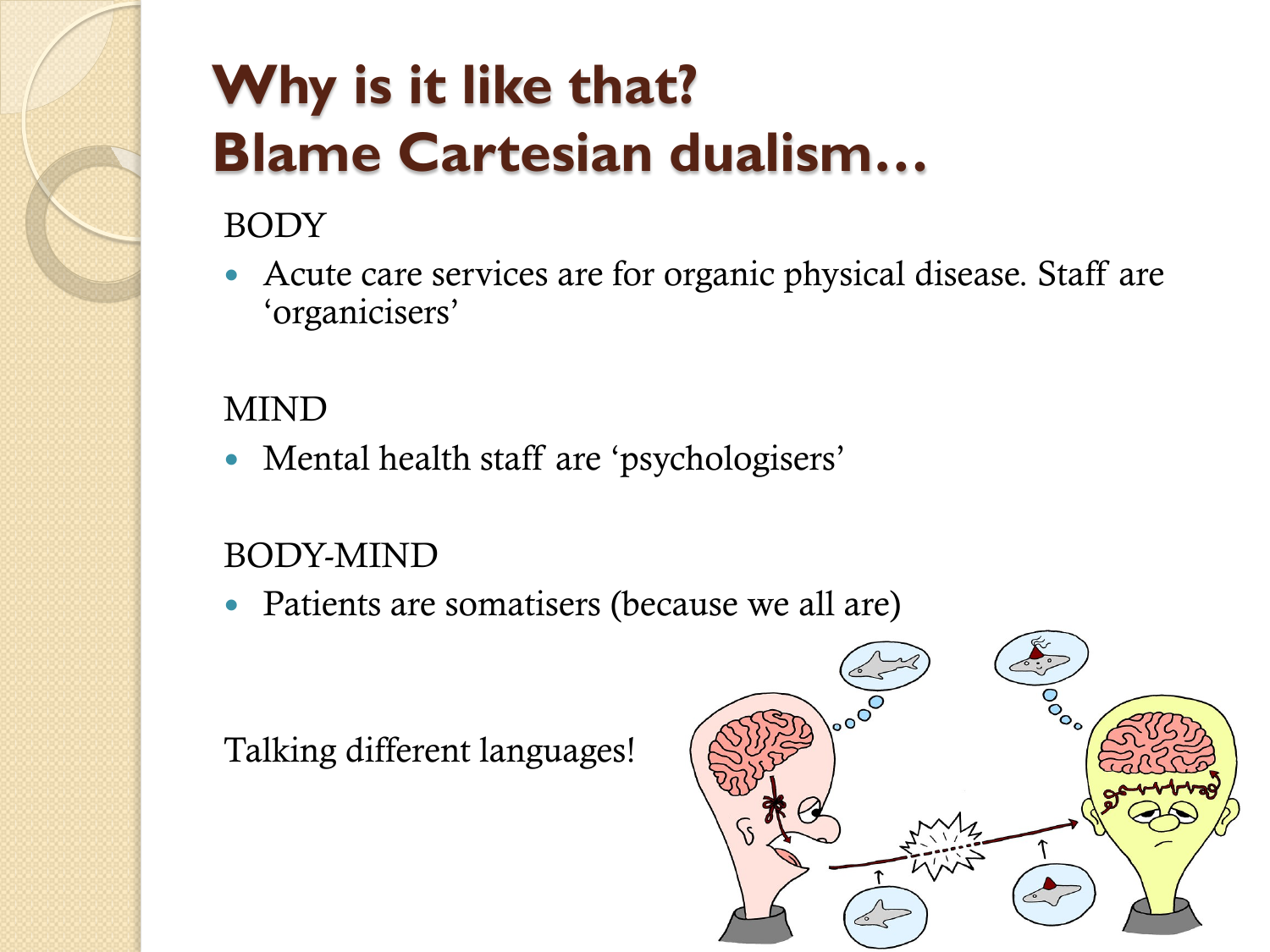## **Why is it like that? Blame Cartesian dualism…**

#### BODY

• Acute care services are for organic physical disease. Staff are 'organicisers'

#### MIND

• Mental health staff are 'psychologisers'

### BODY-MIND

• Patients are somatisers (because we all are)

Talking different languages!

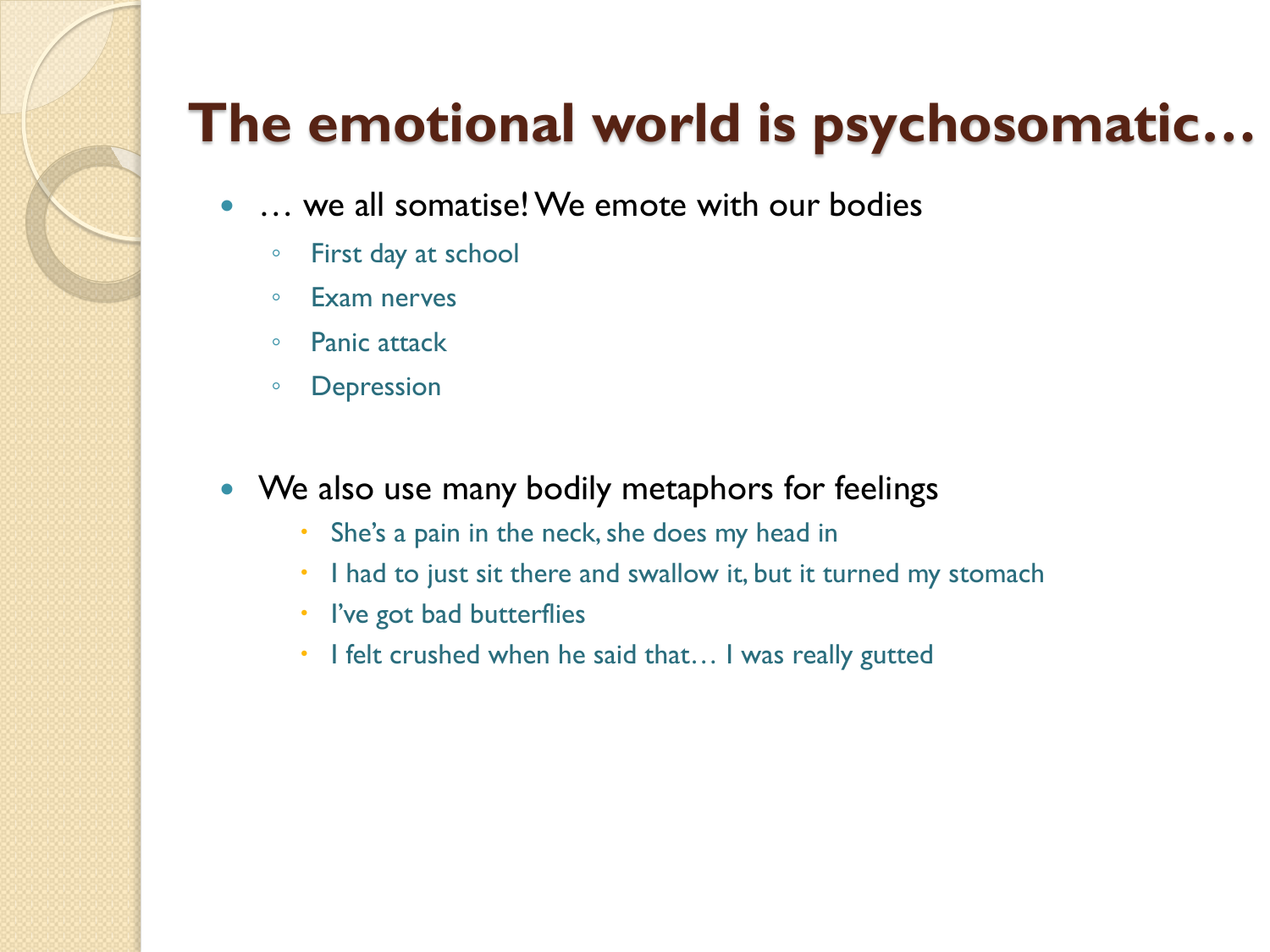## **The emotional world is psychosomatic…**

- … we all somatise! We emote with our bodies
	- First day at school
	- Exam nerves
	- Panic attack
	- Depression

#### • We also use many bodily metaphors for feelings

- She's a pain in the neck, she does my head in
- I had to just sit there and swallow it, but it turned my stomach
- I've got bad butterflies
- I felt crushed when he said that... I was really gutted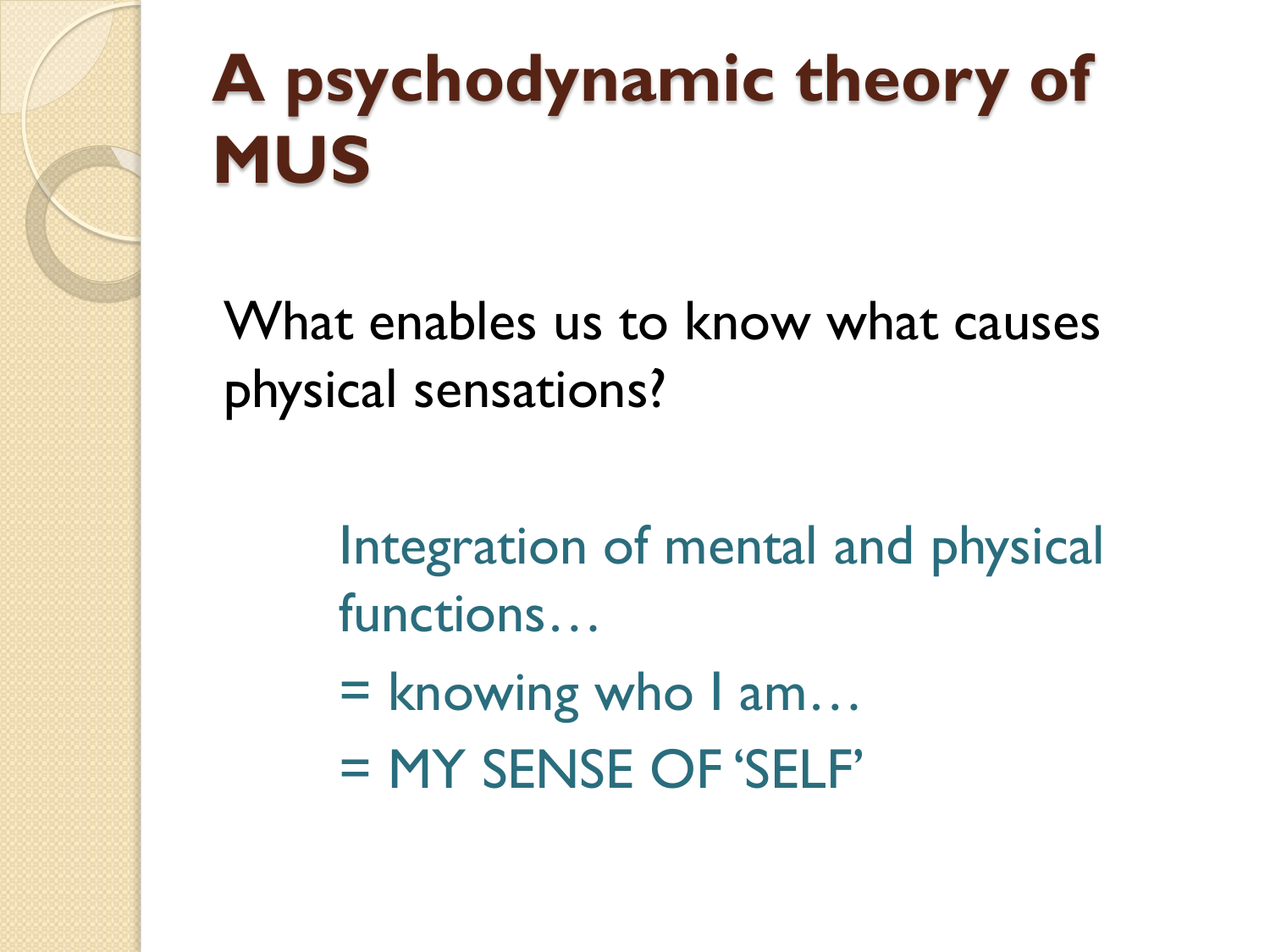## **A psychodynamic theory of MUS**

What enables us to know what causes physical sensations?

> Integration of mental and physical functions…

- $=$  knowing who  $1$  am...
- = MY SENSE OF 'SELF'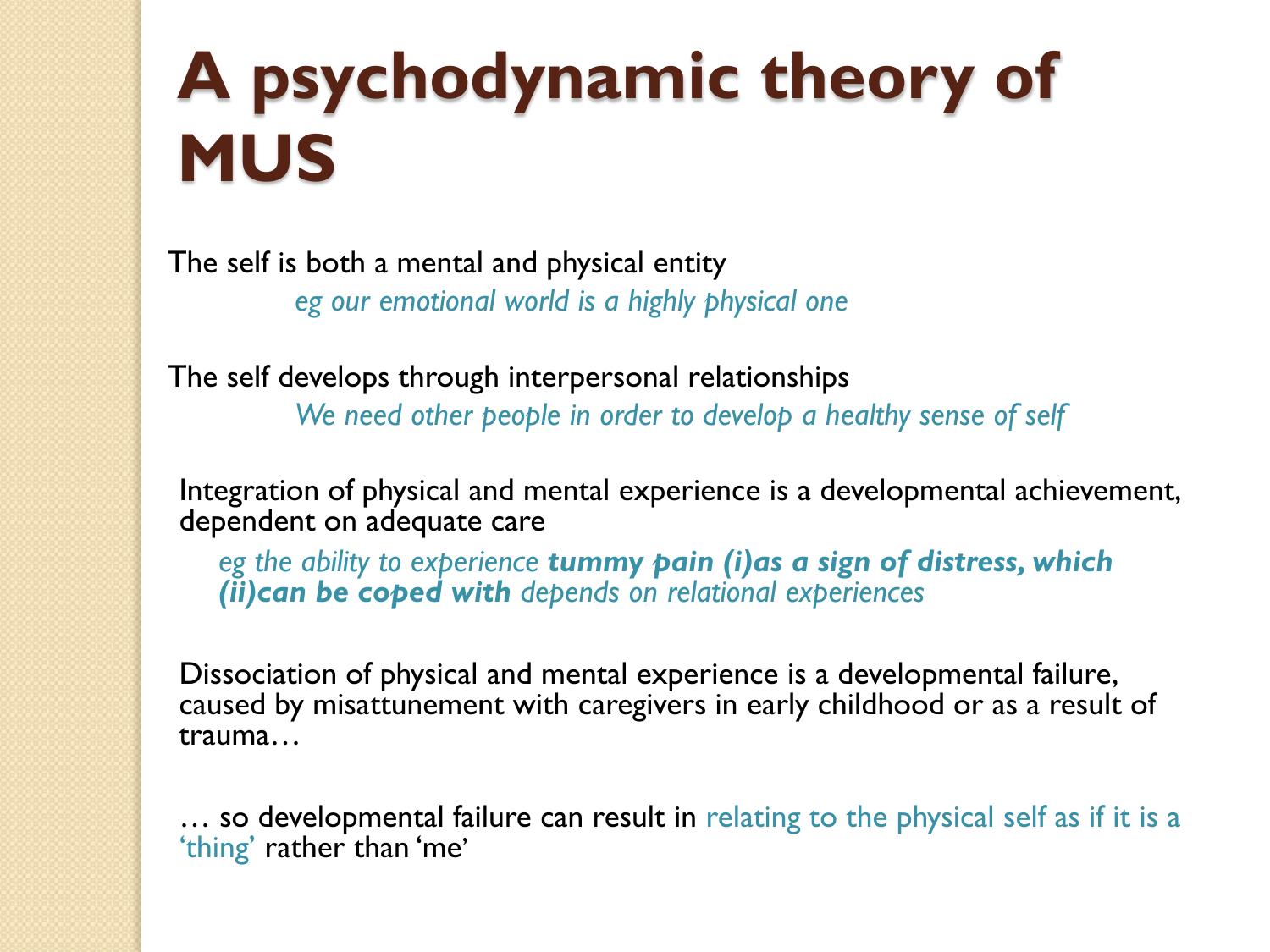## **A psychodynamic theory of MUS**

The self is both a mental and physical entity *eg our emotional world is a highly physical one*

The self develops through interpersonal relationships

*We need other people in order to develop a healthy sense of self*

Integration of physical and mental experience is a developmental achievement, dependent on adequate care

*eg the ability to experience tummy pain (i)as a sign of distress, which (ii)can be coped with depends on relational experiences*

Dissociation of physical and mental experience is a developmental failure, caused by misattunement with caregivers in early childhood or as a result of trauma…

… so developmental failure can result in relating to the physical self as if it is a 'thing' rather than 'me'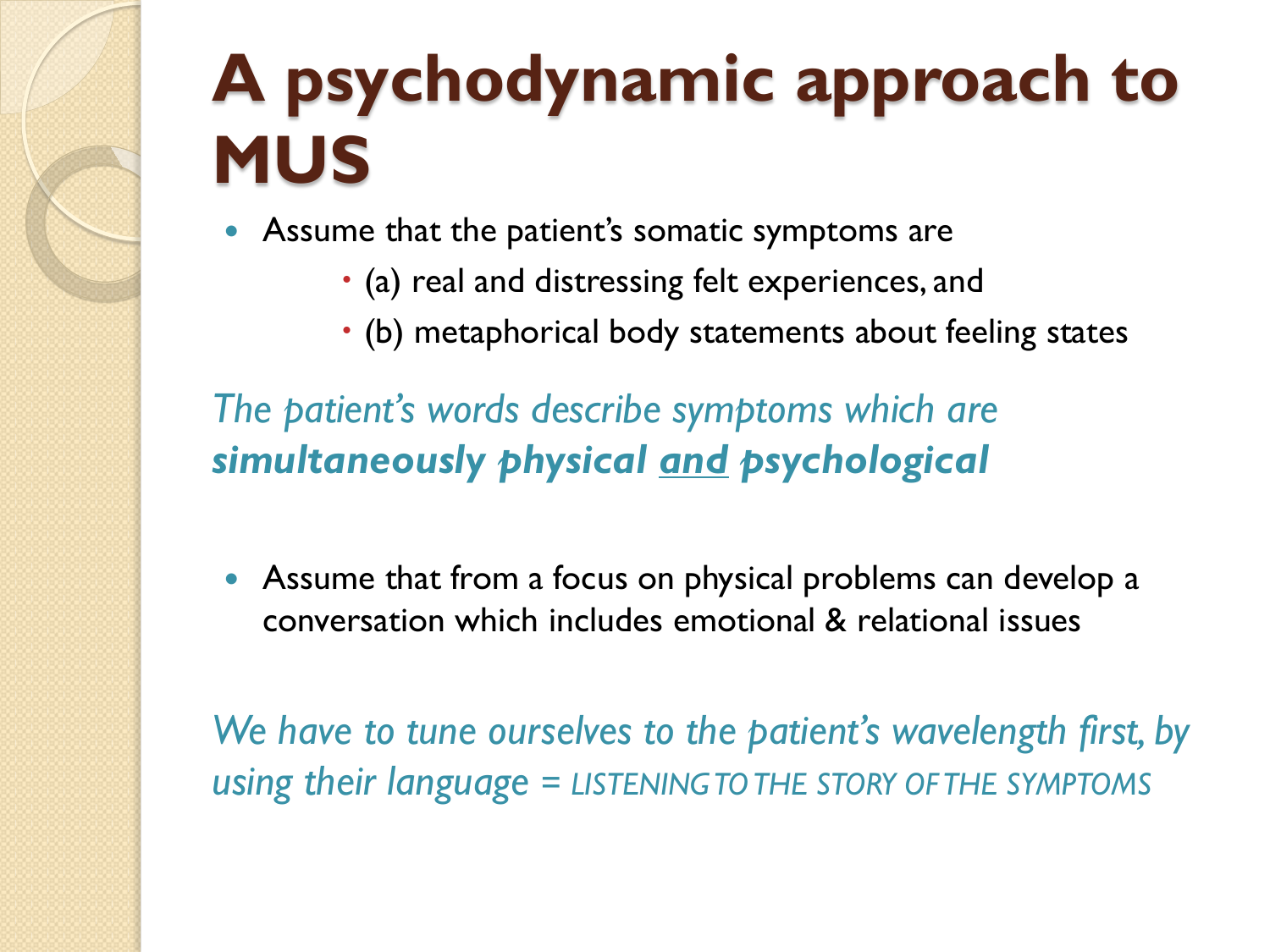## **A psychodynamic approach to MUS**

Assume that the patient's somatic symptoms are

- (a) real and distressing felt experiences, and
- (b) metaphorical body statements about feeling states

*The patient's words describe symptoms which are simultaneously physical and psychological*

 Assume that from a focus on physical problems can develop a conversation which includes emotional & relational issues

*We have to tune ourselves to the patient's wavelength first, by using their language = LISTENING TO THE STORY OF THE SYMPTOMS*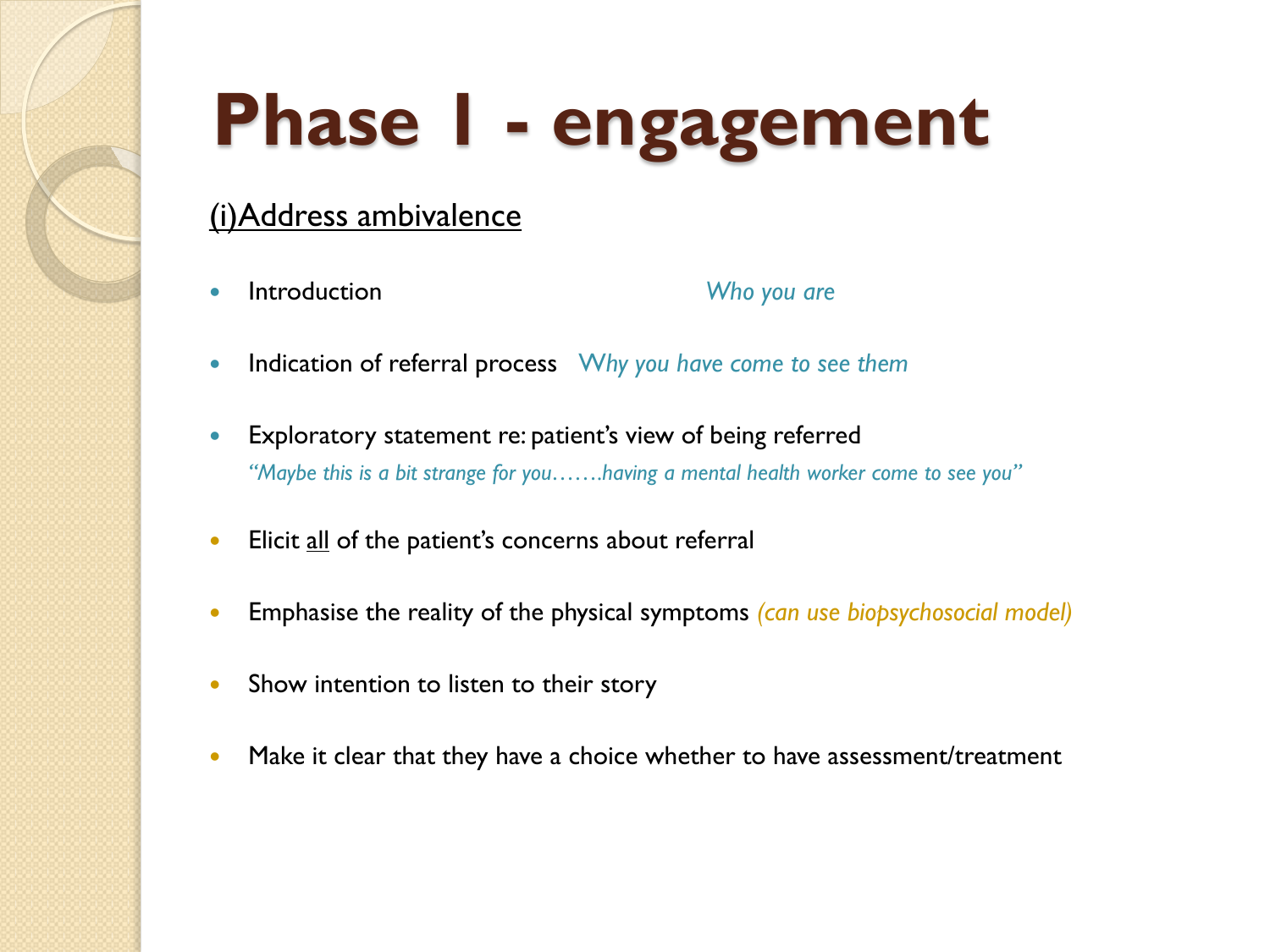# **Phase 1 - engagement**

#### (i)Address ambivalence

**Introduction Who you are** 

- Indication of referral process Why you have come to see them
- Exploratory statement re: patient's view of being referred *"Maybe this is a bit strange for you…….having a mental health worker come to see you"*
- Elicit all of the patient's concerns about referral
- Emphasise the reality of the physical symptoms *(can use biopsychosocial model)*
- Show intention to listen to their story
- Make it clear that they have a choice whether to have assessment/treatment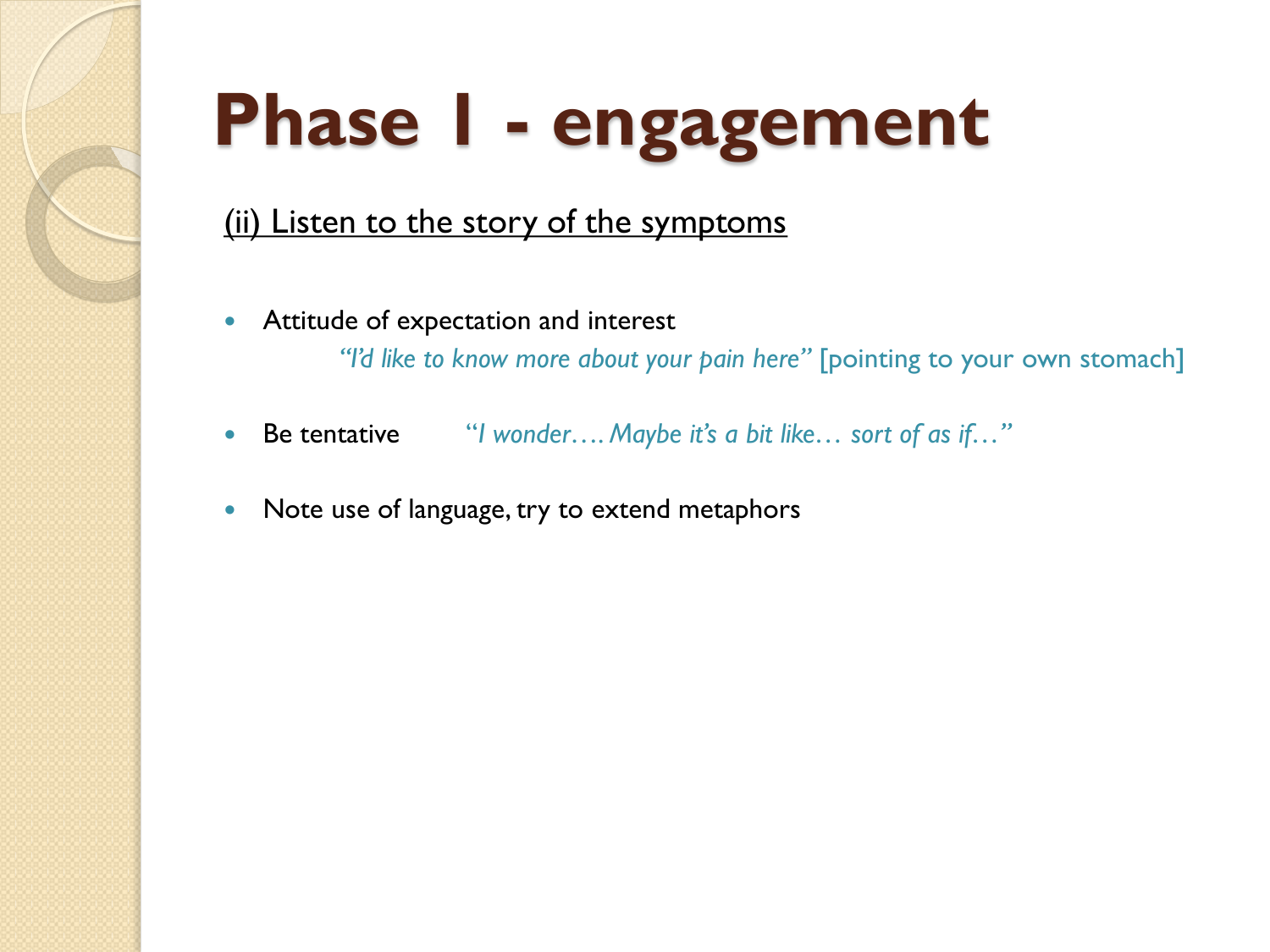# **Phase 1 - engagement**

#### (ii) Listen to the story of the symptoms

- **•** Attitude of expectation and interest *"I'd like to know more about your pain here"* [pointing to your own stomach]
- Be tentative "*I wonder…. Maybe it's a bit like… sort of as if…"*
- Note use of language, try to extend metaphors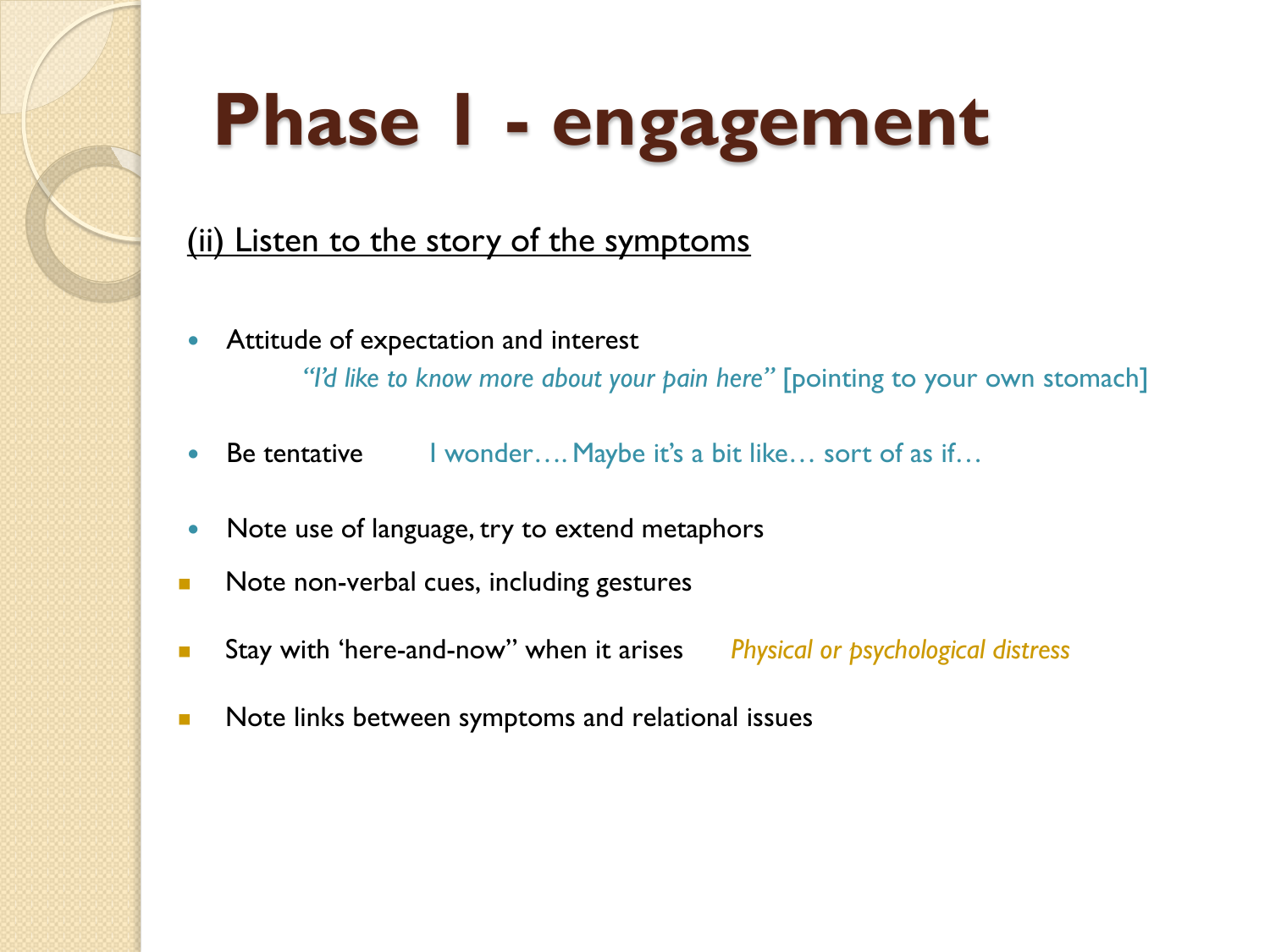# **Phase 1 - engagement**

#### (ii) Listen to the story of the symptoms

- Attitude of expectation and interest *"I'd like to know more about your pain here"* [pointing to your own stomach]
- Be tentative I wonder…. Maybe it's a bit like… sort of as if…
- Note use of language, try to extend metaphors
- Note non-verbal cues, including gestures
- Stay with 'here-and-now" when it arises *Physical or psychological distress*
- Note links between symptoms and relational issues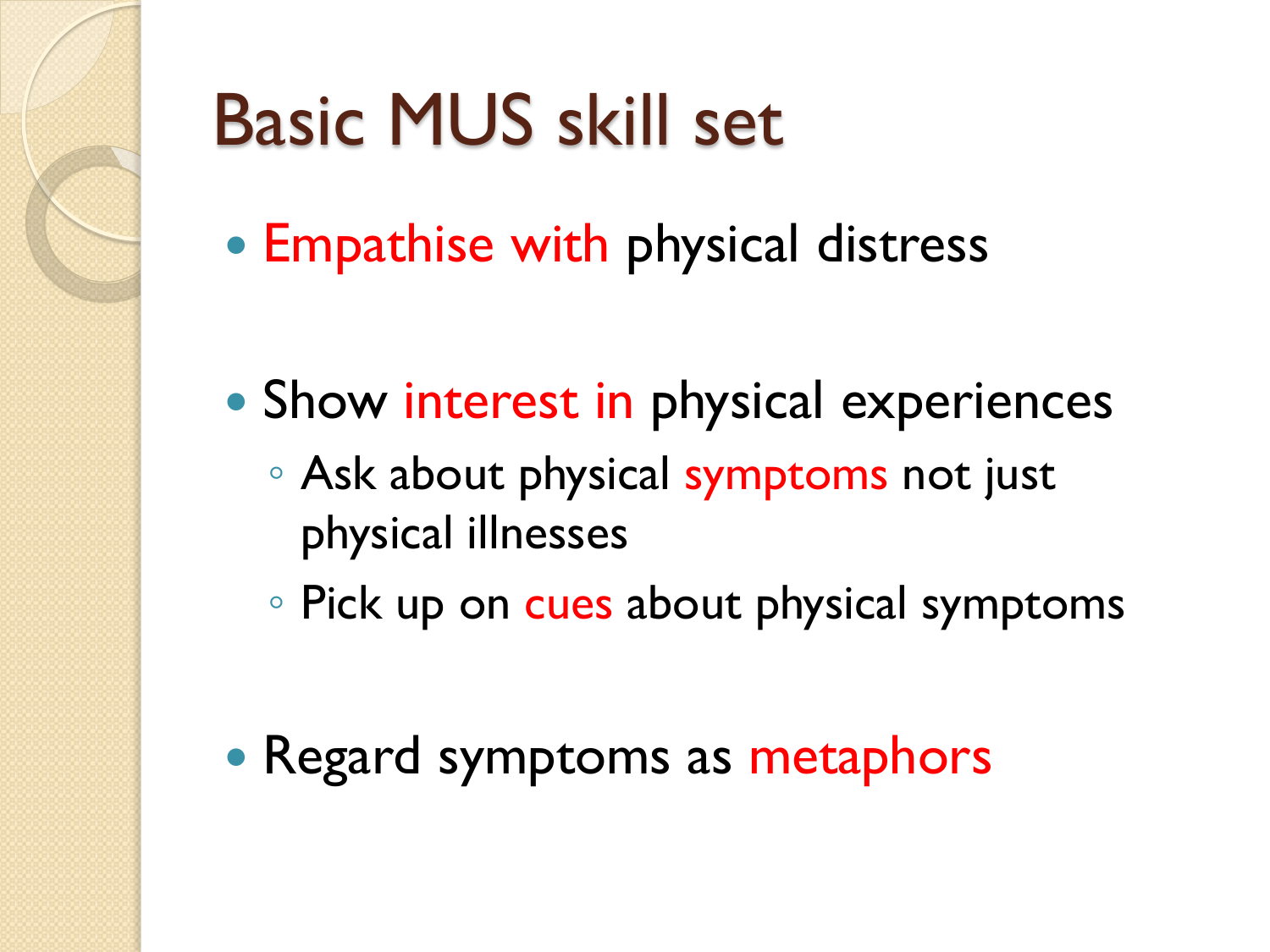# Basic MUS skill set

- Empathise with physical distress
- Show interest in physical experiences
	- Ask about physical symptoms not just physical illnesses
	- Pick up on cues about physical symptoms
- Regard symptoms as metaphors